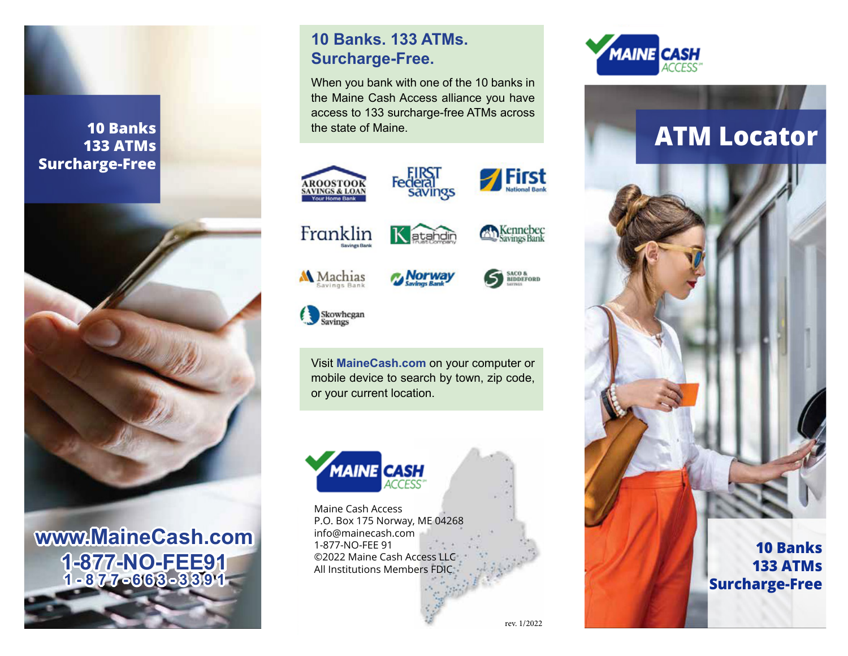# **10 Banks 133 ATMs 133 ATMs Surcharge-Free Surcharge-Free 10 Banks**



**10 Banks www.MaineCash.com 133 ATM Surcharge-Free 1-877-NO-FEE91 1-877-663-3391**

# **10 Banks. 133 ATMs. Surcharge-Free.**

When you bank with one of the 10 banks in the Maine Cash Access alliance you have Maine Cash Access access to 133 surcharge-free ATMs across the state of Maine. access to 100 suicharge-free to 133 surcharge-free ATMs info@mainecash.com  $\epsilon$  or manne.





**First** 









Visit **MaineCash.com** on your computer or mobile device to search by town, zip code, or your current location.



Maine Cash Access P.O. Box 175 Norway, ME 04268 info@mainecash.com 1-877-NO-FEE 91 ©2022 Maine Cash Access LLC All Institutions Members FDIC